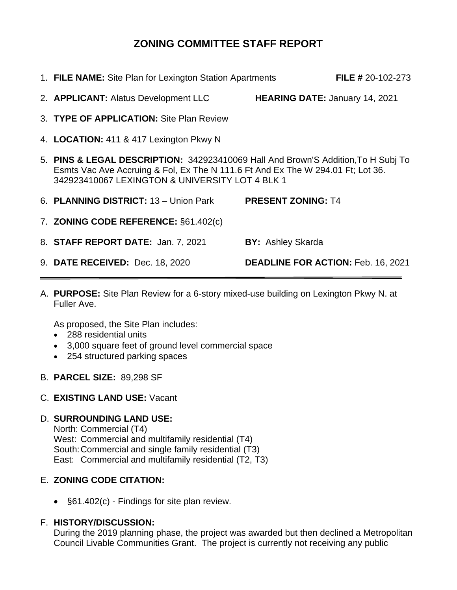# **ZONING COMMITTEE STAFF REPORT**

| 1. FILE NAME: Site Plan for Lexington Station Apartments                                                                                                                                                                |                                           | <b>FILE # 20-102-273</b> |
|-------------------------------------------------------------------------------------------------------------------------------------------------------------------------------------------------------------------------|-------------------------------------------|--------------------------|
| 2. APPLICANT: Alatus Development LLC                                                                                                                                                                                    | <b>HEARING DATE: January 14, 2021</b>     |                          |
| 3. TYPE OF APPLICATION: Site Plan Review                                                                                                                                                                                |                                           |                          |
| 4. LOCATION: 411 & 417 Lexington Pkwy N                                                                                                                                                                                 |                                           |                          |
| 5. PINS & LEGAL DESCRIPTION: 342923410069 Hall And Brown'S Addition, To H Subj To<br>Esmts Vac Ave Accruing & Fol, Ex The N 111.6 Ft And Ex The W 294.01 Ft; Lot 36.<br>342923410067 LEXINGTON & UNIVERSITY LOT 4 BLK 1 |                                           |                          |
| 6. PLANNING DISTRICT: 13 - Union Park                                                                                                                                                                                   | <b>PRESENT ZONING: T4</b>                 |                          |
| 7. ZONING CODE REFERENCE: §61.402(c)                                                                                                                                                                                    |                                           |                          |
| 8. STAFF REPORT DATE: Jan. 7, 2021                                                                                                                                                                                      | <b>BY: Ashley Skarda</b>                  |                          |
| 9. DATE RECEIVED: Dec. 18, 2020                                                                                                                                                                                         | <b>DEADLINE FOR ACTION: Feb. 16, 2021</b> |                          |

A. **PURPOSE:** Site Plan Review for a 6-story mixed-use building on Lexington Pkwy N. at Fuller Ave.

As proposed, the Site Plan includes:

- 288 residential units
- 3,000 square feet of ground level commercial space
- 254 structured parking spaces
- B. **PARCEL SIZE:** 89,298 SF

#### C. **EXISTING LAND USE:** Vacant

#### D. **SURROUNDING LAND USE:**

North: Commercial (T4) West: Commercial and multifamily residential (T4) South:Commercial and single family residential (T3) East: Commercial and multifamily residential (T2, T3)

## E. **ZONING CODE CITATION:**

• §61.402(c) - Findings for site plan review.

### F. **HISTORY/DISCUSSION:**

During the 2019 planning phase, the project was awarded but then declined a Metropolitan Council Livable Communities Grant. The project is currently not receiving any public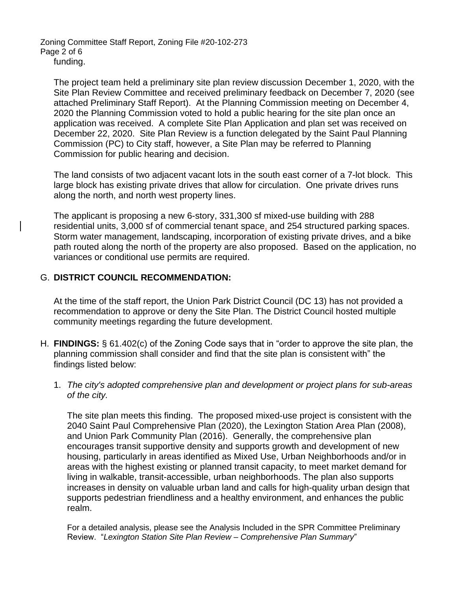Zoning Committee Staff Report, Zoning File #20-102-273 Page 2 of 6 funding.

The project team held a preliminary site plan review discussion December 1, 2020, with the Site Plan Review Committee and received preliminary feedback on December 7, 2020 (see attached Preliminary Staff Report). At the Planning Commission meeting on December 4, 2020 the Planning Commission voted to hold a public hearing for the site plan once an application was received. A complete Site Plan Application and plan set was received on December 22, 2020. Site Plan Review is a function delegated by the Saint Paul Planning Commission (PC) to City staff, however, a Site Plan may be referred to Planning Commission for public hearing and decision.

The land consists of two adjacent vacant lots in the south east corner of a 7-lot block. This large block has existing private drives that allow for circulation. One private drives runs along the north, and north west property lines.

The applicant is proposing a new 6-story, 331,300 sf mixed-use building with 288 residential units, 3,000 sf of commercial tenant space, and 254 structured parking spaces. Storm water management, landscaping, incorporation of existing private drives, and a bike path routed along the north of the property are also proposed. Based on the application, no variances or conditional use permits are required.

### G. **DISTRICT COUNCIL RECOMMENDATION:**

At the time of the staff report, the Union Park District Council (DC 13) has not provided a recommendation to approve or deny the Site Plan. The District Council hosted multiple community meetings regarding the future development.

- H. **FINDINGS:** § 61.402(c) of the Zoning Code says that in "order to approve the site plan, the planning commission shall consider and find that the site plan is consistent with" the findings listed below:
	- 1. *The city's adopted comprehensive plan and development or project plans for sub-areas of the city.*

The site plan meets this finding. The proposed mixed-use project is consistent with the 2040 Saint Paul Comprehensive Plan (2020), the Lexington Station Area Plan (2008), and Union Park Community Plan (2016). Generally, the comprehensive plan encourages transit supportive density and supports growth and development of new housing, particularly in areas identified as Mixed Use, Urban Neighborhoods and/or in areas with the highest existing or planned transit capacity, to meet market demand for living in walkable, transit-accessible, urban neighborhoods. The plan also supports increases in density on valuable urban land and calls for high-quality urban design that supports pedestrian friendliness and a healthy environment, and enhances the public realm.

For a detailed analysis, please see the Analysis Included in the SPR Committee Preliminary Review. "*Lexington Station Site Plan Review – Comprehensive Plan Summary*"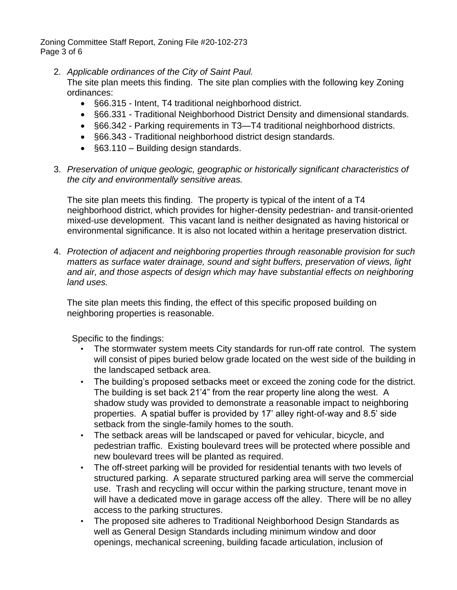Zoning Committee Staff Report, Zoning File #20-102-273 Page 3 of 6

- 2. *Applicable ordinances of the City of Saint Paul.* The site plan meets this finding. The site plan complies with the following key Zoning ordinances:
	- §66.315 Intent, T4 traditional neighborhood district.
	- §66.331 Traditional Neighborhood District Density and dimensional standards.
	- §66.342 Parking requirements in T3—T4 traditional neighborhood districts.
	- §66.343 Traditional neighborhood district design standards.
	- §63.110 Building design standards.
- 3. *Preservation of unique geologic, geographic or historically significant characteristics of the city and environmentally sensitive areas.*

The site plan meets this finding. The property is typical of the intent of a T4 neighborhood district, which provides for higher-density pedestrian- and transit-oriented mixed-use development. This vacant land is neither designated as having historical or environmental significance. It is also not located within a heritage preservation district.

4. *Protection of adjacent and neighboring properties through reasonable provision for such matters as surface water drainage, sound and sight buffers, preservation of views, light and air, and those aspects of design which may have substantial effects on neighboring land uses.*

The site plan meets this finding, the effect of this specific proposed building on neighboring properties is reasonable.

Specific to the findings:

- The stormwater system meets City standards for run-off rate control. The system will consist of pipes buried below grade located on the west side of the building in the landscaped setback area.
- The building's proposed setbacks meet or exceed the zoning code for the district. The building is set back 21'4" from the rear property line along the west. A shadow study was provided to demonstrate a reasonable impact to neighboring properties. A spatial buffer is provided by 17' alley right-of-way and 8.5' side setback from the single-family homes to the south.
- The setback areas will be landscaped or paved for vehicular, bicycle, and pedestrian traffic. Existing boulevard trees will be protected where possible and new boulevard trees will be planted as required.
- The off-street parking will be provided for residential tenants with two levels of structured parking. A separate structured parking area will serve the commercial use. Trash and recycling will occur within the parking structure, tenant move in will have a dedicated move in garage access off the alley. There will be no alley access to the parking structures.
- The proposed site adheres to Traditional Neighborhood Design Standards as well as General Design Standards including minimum window and door openings, mechanical screening, building facade articulation, inclusion of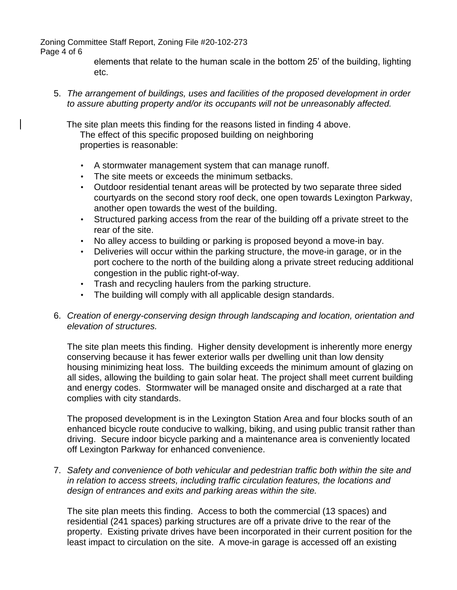Zoning Committee Staff Report, Zoning File #20-102-273

#### Page 4 of 6

elements that relate to the human scale in the bottom 25' of the building, lighting etc.

5. *The arrangement of buildings, uses and facilities of the proposed development in order to assure abutting property and/or its occupants will not be unreasonably affected.*

The site plan meets this finding for the reasons listed in finding 4 above. The effect of this specific proposed building on neighboring properties is reasonable:

- A stormwater management system that can manage runoff.
- The site meets or exceeds the minimum setbacks.
- Outdoor residential tenant areas will be protected by two separate three sided courtyards on the second story roof deck, one open towards Lexington Parkway, another open towards the west of the building.
- Structured parking access from the rear of the building off a private street to the rear of the site.
- No alley access to building or parking is proposed beyond a move-in bay.
- Deliveries will occur within the parking structure, the move-in garage, or in the port cochere to the north of the building along a private street reducing additional congestion in the public right-of-way.
- Trash and recycling haulers from the parking structure.
- The building will comply with all applicable design standards.
- 6. *Creation of energy-conserving design through landscaping and location, orientation and elevation of structures.*

The site plan meets this finding. Higher density development is inherently more energy conserving because it has fewer exterior walls per dwelling unit than low density housing minimizing heat loss. The building exceeds the minimum amount of glazing on all sides, allowing the building to gain solar heat. The project shall meet current building and energy codes. Stormwater will be managed onsite and discharged at a rate that complies with city standards.

The proposed development is in the Lexington Station Area and four blocks south of an enhanced bicycle route conducive to walking, biking, and using public transit rather than driving. Secure indoor bicycle parking and a maintenance area is conveniently located off Lexington Parkway for enhanced convenience.

7. *Safety and convenience of both vehicular and pedestrian traffic both within the site and in relation to access streets, including traffic circulation features, the locations and design of entrances and exits and parking areas within the site.*

The site plan meets this finding. Access to both the commercial (13 spaces) and residential (241 spaces) parking structures are off a private drive to the rear of the property. Existing private drives have been incorporated in their current position for the least impact to circulation on the site. A move-in garage is accessed off an existing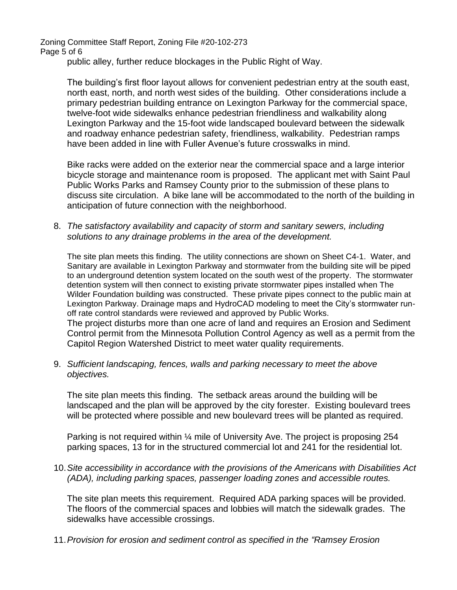Zoning Committee Staff Report, Zoning File #20-102-273 Page 5 of 6

public alley, further reduce blockages in the Public Right of Way.

The building's first floor layout allows for convenient pedestrian entry at the south east, north east, north, and north west sides of the building. Other considerations include a primary pedestrian building entrance on Lexington Parkway for the commercial space, twelve-foot wide sidewalks enhance pedestrian friendliness and walkability along Lexington Parkway and the 15-foot wide landscaped boulevard between the sidewalk and roadway enhance pedestrian safety, friendliness, walkability. Pedestrian ramps have been added in line with Fuller Avenue's future crosswalks in mind.

Bike racks were added on the exterior near the commercial space and a large interior bicycle storage and maintenance room is proposed. The applicant met with Saint Paul Public Works Parks and Ramsey County prior to the submission of these plans to discuss site circulation. A bike lane will be accommodated to the north of the building in anticipation of future connection with the neighborhood.

8. *The satisfactory availability and capacity of storm and sanitary sewers, including solutions to any drainage problems in the area of the development.*

The site plan meets this finding. The utility connections are shown on Sheet C4-1. Water, and Sanitary are available in Lexington Parkway and stormwater from the building site will be piped to an underground detention system located on the south west of the property. The stormwater detention system will then connect to existing private stormwater pipes installed when The Wilder Foundation building was constructed. These private pipes connect to the public main at Lexington Parkway. Drainage maps and HydroCAD modeling to meet the City's stormwater runoff rate control standards were reviewed and approved by Public Works. The project disturbs more than one acre of land and requires an Erosion and Sediment Control permit from the Minnesota Pollution Control Agency as well as a permit from the Capitol Region Watershed District to meet water quality requirements.

9. *Sufficient landscaping, fences, walls and parking necessary to meet the above objectives.*

The site plan meets this finding. The setback areas around the building will be landscaped and the plan will be approved by the city forester. Existing boulevard trees will be protected where possible and new boulevard trees will be planted as required.

Parking is not required within ¼ mile of University Ave. The project is proposing 254 parking spaces, 13 for in the structured commercial lot and 241 for the residential lot.

10.*Site accessibility in accordance with the provisions of the Americans with Disabilities Act (ADA), including parking spaces, passenger loading zones and accessible routes.*

The site plan meets this requirement. Required ADA parking spaces will be provided. The floors of the commercial spaces and lobbies will match the sidewalk grades. The sidewalks have accessible crossings.

11.*Provision for erosion and sediment control as specified in the "Ramsey Erosion*